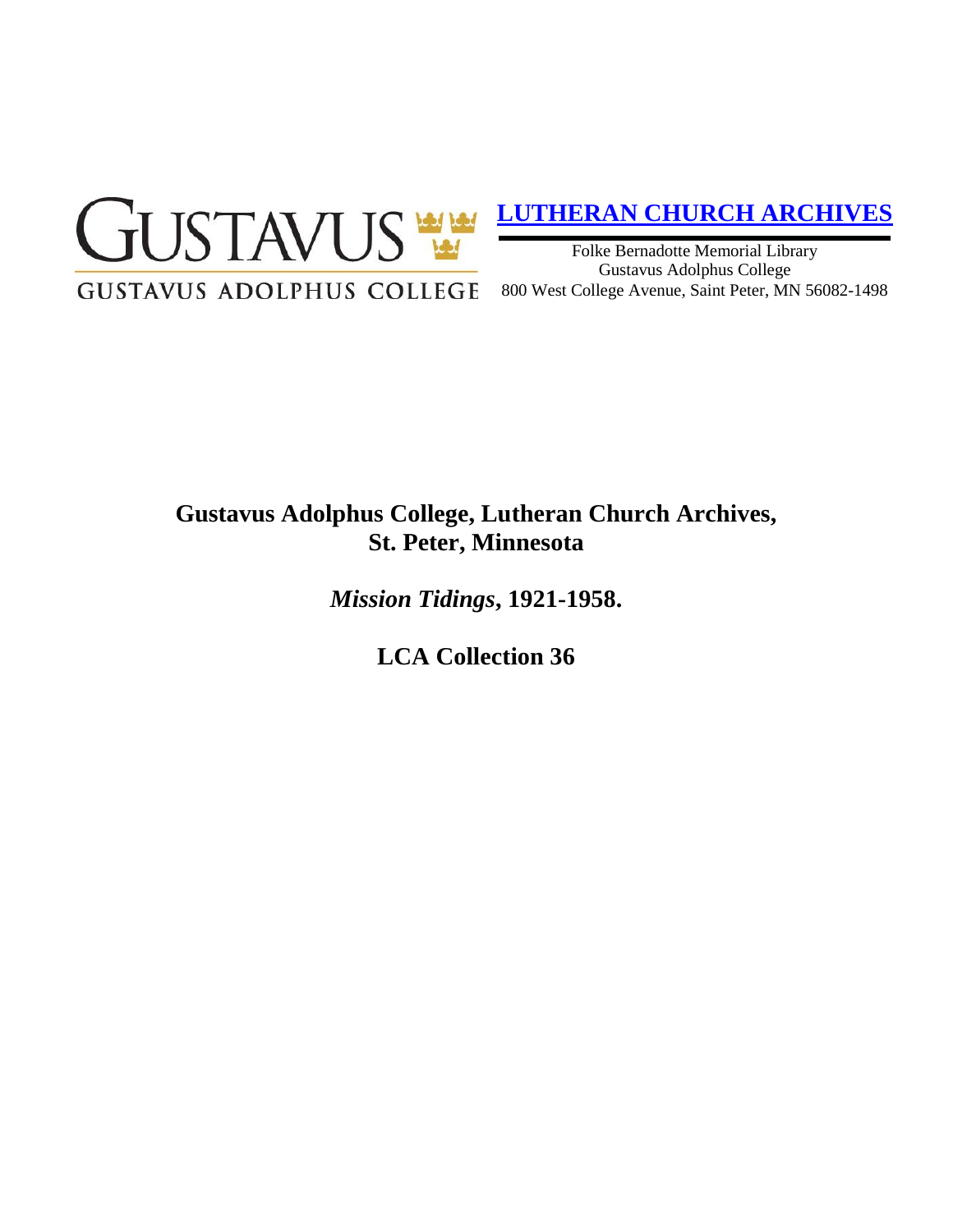

# **[LUTHERAN CHURCH ARCHIVES](http://gustavus.edu/academics/library/archives/)**

Folke Bernadotte Memorial Library Gustavus Adolphus College 800 West College Avenue, Saint Peter, MN 56082-1498

# **Gustavus Adolphus College, Lutheran Church Archives, St. Peter, Minnesota**

*Mission Tidings***, 1921-1958.**

**LCA Collection 36**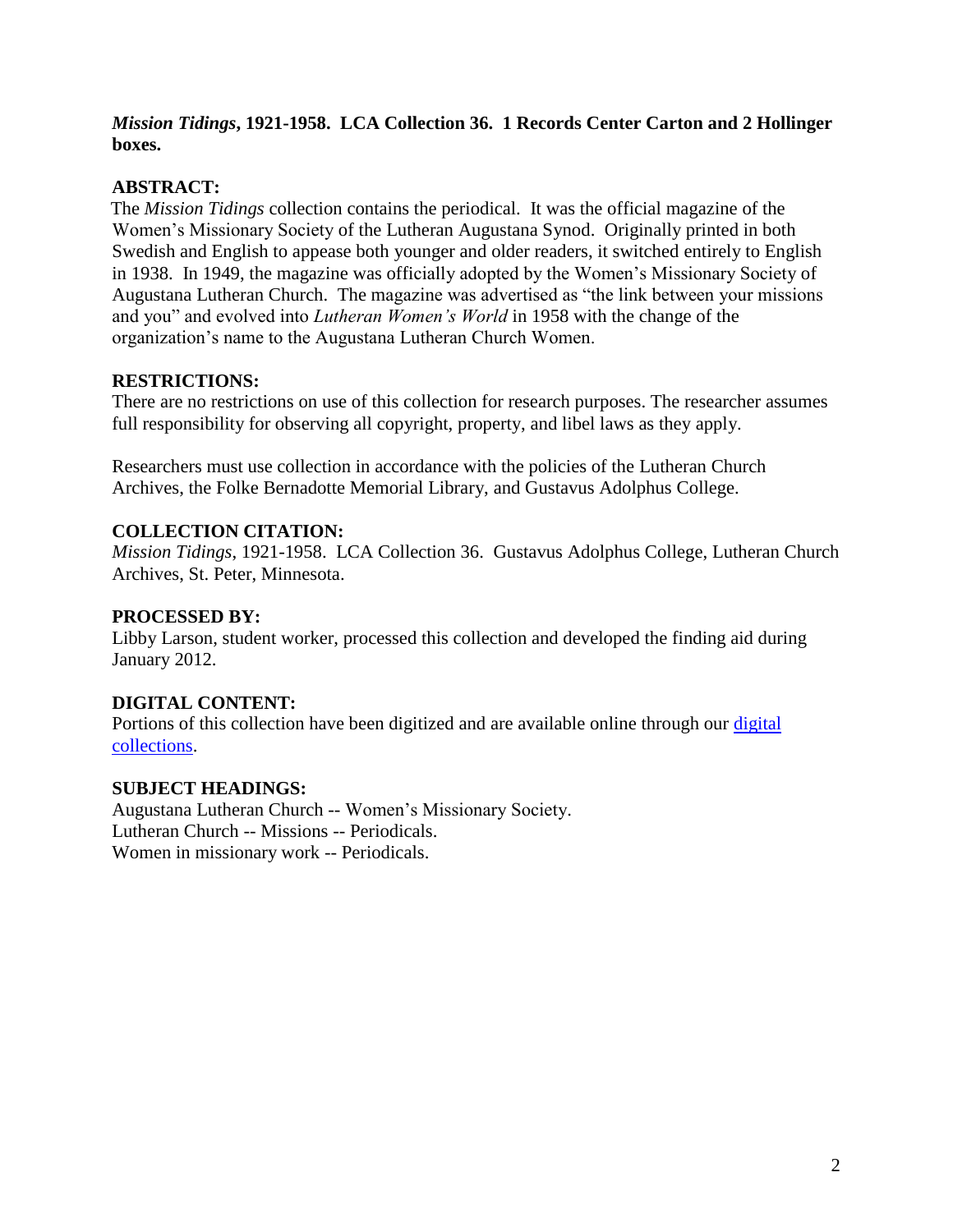## *Mission Tidings***, 1921-1958. LCA Collection 36. 1 Records Center Carton and 2 Hollinger boxes.**

## **ABSTRACT:**

The *Mission Tidings* collection contains the periodical. It was the official magazine of the Women's Missionary Society of the Lutheran Augustana Synod. Originally printed in both Swedish and English to appease both younger and older readers, it switched entirely to English in 1938. In 1949, the magazine was officially adopted by the Women's Missionary Society of Augustana Lutheran Church. The magazine was advertised as "the link between your missions and you" and evolved into *Lutheran Women's World* in 1958 with the change of the organization's name to the Augustana Lutheran Church Women.

# **RESTRICTIONS:**

There are no restrictions on use of this collection for research purposes. The researcher assumes full responsibility for observing all copyright, property, and libel laws as they apply.

Researchers must use collection in accordance with the policies of the Lutheran Church Archives, the Folke Bernadotte Memorial Library, and Gustavus Adolphus College.

# **COLLECTION CITATION:**

*Mission Tidings*, 1921-1958. LCA Collection 36. Gustavus Adolphus College, Lutheran Church Archives, St. Peter, Minnesota.

## **PROCESSED BY:**

Libby Larson, student worker, processed this collection and developed the finding aid during January 2012.

#### **DIGITAL CONTENT:**

Portions of this collection have been digitized and are available online through our digital [collections.](https://archives.gac.edu/digital/)

#### **SUBJECT HEADINGS:**

Augustana Lutheran Church -- Women's Missionary Society. Lutheran Church -- Missions -- Periodicals. Women in missionary work -- Periodicals.